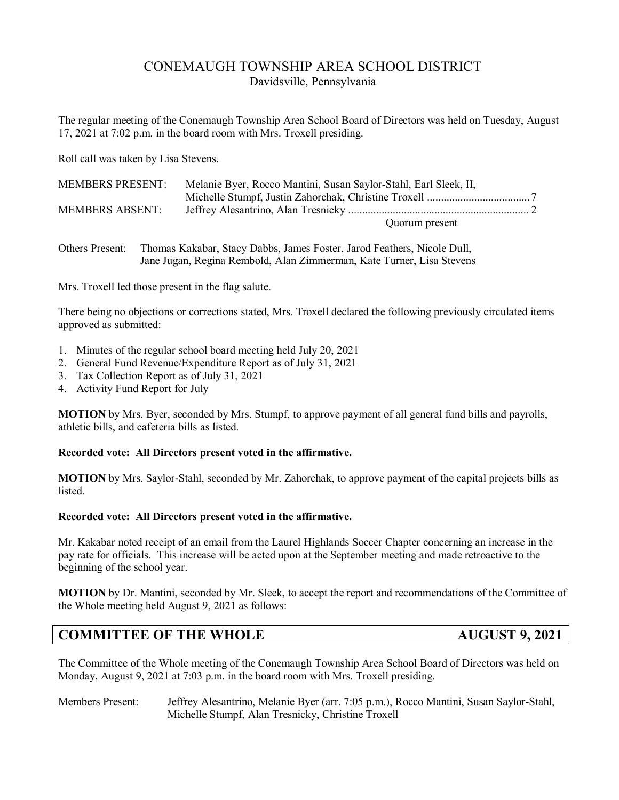# CONEMAUGH TOWNSHIP AREA SCHOOL DISTRICT Davidsville, Pennsylvania

The regular meeting of the Conemaugh Township Area School Board of Directors was held on Tuesday, August 17, 2021 at 7:02 p.m. in the board room with Mrs. Troxell presiding.

Roll call was taken by Lisa Stevens.

| <b>MEMBERS PRESENT:</b> | Melanie Byer, Rocco Mantini, Susan Saylor-Stahl, Earl Sleek, II, |  |
|-------------------------|------------------------------------------------------------------|--|
|                         |                                                                  |  |
| MEMBERS ABSENT:         |                                                                  |  |
|                         | Quorum present                                                   |  |

Others Present: Thomas Kakabar, Stacy Dabbs, James Foster, Jarod Feathers, Nicole Dull, Jane Jugan, Regina Rembold, Alan Zimmerman, Kate Turner, Lisa Stevens

Mrs. Troxell led those present in the flag salute.

There being no objections or corrections stated, Mrs. Troxell declared the following previously circulated items approved as submitted:

- 1. Minutes of the regular school board meeting held July 20, 2021
- 2. General Fund Revenue/Expenditure Report as of July 31, 2021
- 3. Tax Collection Report as of July 31, 2021
- 4. Activity Fund Report for July

**MOTION** by Mrs. Byer, seconded by Mrs. Stumpf, to approve payment of all general fund bills and payrolls, athletic bills, and cafeteria bills as listed.

### **Recorded vote: All Directors present voted in the affirmative.**

**MOTION** by Mrs. Saylor-Stahl, seconded by Mr. Zahorchak, to approve payment of the capital projects bills as listed.

#### **Recorded vote: All Directors present voted in the affirmative.**

Mr. Kakabar noted receipt of an email from the Laurel Highlands Soccer Chapter concerning an increase in the pay rate for officials. This increase will be acted upon at the September meeting and made retroactive to the beginning of the school year.

**MOTION** by Dr. Mantini, seconded by Mr. Sleek, to accept the report and recommendations of the Committee of the Whole meeting held August 9, 2021 as follows:

# **COMMITTEE OF THE WHOLE AUGUST 9, 2021**

The Committee of the Whole meeting of the Conemaugh Township Area School Board of Directors was held on Monday, August 9, 2021 at 7:03 p.m. in the board room with Mrs. Troxell presiding.

Members Present: Jeffrey Alesantrino, Melanie Byer (arr. 7:05 p.m.), Rocco Mantini, Susan Saylor-Stahl, Michelle Stumpf, Alan Tresnicky, Christine Troxell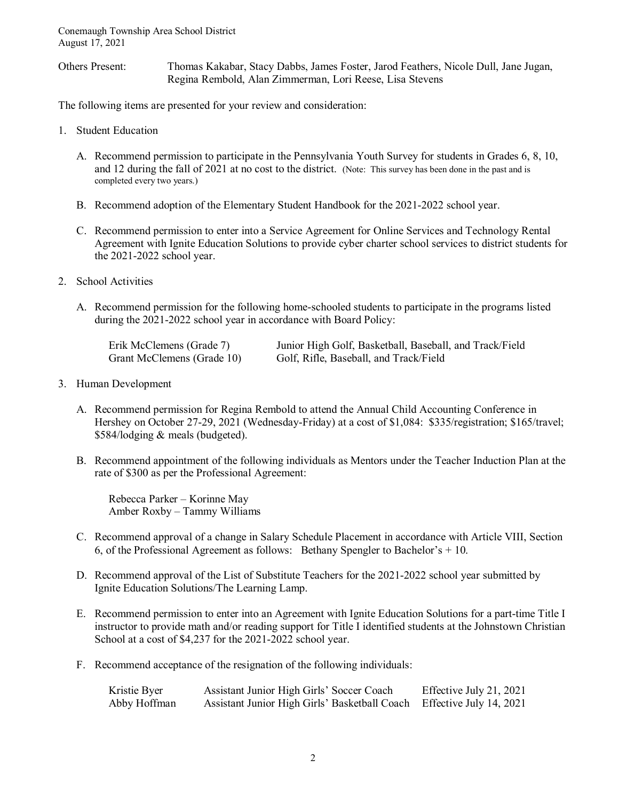Others Present: Thomas Kakabar, Stacy Dabbs, James Foster, Jarod Feathers, Nicole Dull, Jane Jugan, Regina Rembold, Alan Zimmerman, Lori Reese, Lisa Stevens

The following items are presented for your review and consideration:

- 1. Student Education
	- A. Recommend permission to participate in the Pennsylvania Youth Survey for students in Grades 6, 8, 10, and 12 during the fall of 2021 at no cost to the district. (Note: This survey has been done in the past and is completed every two years.)
	- B. Recommend adoption of the Elementary Student Handbook for the 2021-2022 school year.
	- C. Recommend permission to enter into a Service Agreement for Online Services and Technology Rental Agreement with Ignite Education Solutions to provide cyber charter school services to district students for the 2021-2022 school year.
- 2. School Activities
	- A. Recommend permission for the following home-schooled students to participate in the programs listed during the 2021-2022 school year in accordance with Board Policy:

| Erik McClemens (Grade 7)   | Junior High Golf, Basketball, Baseball, and Track/Field |
|----------------------------|---------------------------------------------------------|
| Grant McClemens (Grade 10) | Golf, Rifle, Baseball, and Track/Field                  |

- 3. Human Development
	- A. Recommend permission for Regina Rembold to attend the Annual Child Accounting Conference in Hershey on October 27-29, 2021 (Wednesday-Friday) at a cost of \$1,084: \$335/registration; \$165/travel; \$584/lodging & meals (budgeted).
	- B. Recommend appointment of the following individuals as Mentors under the Teacher Induction Plan at the rate of \$300 as per the Professional Agreement:

 Rebecca Parker – Korinne May Amber Roxby – Tammy Williams

- C. Recommend approval of a change in Salary Schedule Placement in accordance with Article VIII, Section 6, of the Professional Agreement as follows: Bethany Spengler to Bachelor's  $+10$ .
- D. Recommend approval of the List of Substitute Teachers for the 2021-2022 school year submitted by Ignite Education Solutions/The Learning Lamp.
- E. Recommend permission to enter into an Agreement with Ignite Education Solutions for a part-time Title I instructor to provide math and/or reading support for Title I identified students at the Johnstown Christian School at a cost of \$4,237 for the 2021-2022 school year.
- F. Recommend acceptance of the resignation of the following individuals:

| Kristie Byer | Assistant Junior High Girls' Soccer Coach                             | Effective July 21, 2021 |
|--------------|-----------------------------------------------------------------------|-------------------------|
| Abby Hoffman | Assistant Junior High Girls' Basketball Coach Effective July 14, 2021 |                         |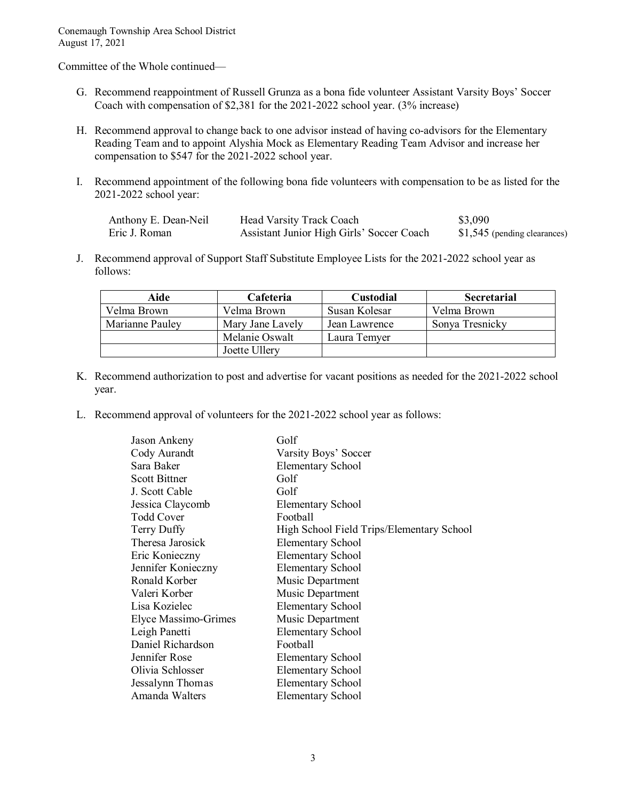Committee of the Whole continued—

- G. Recommend reappointment of Russell Grunza as a bona fide volunteer Assistant Varsity Boys' Soccer Coach with compensation of \$2,381 for the 2021-2022 school year. (3% increase)
- H. Recommend approval to change back to one advisor instead of having co-advisors for the Elementary Reading Team and to appoint Alyshia Mock as Elementary Reading Team Advisor and increase her compensation to \$547 for the 2021-2022 school year.
- I. Recommend appointment of the following bona fide volunteers with compensation to be as listed for the 2021-2022 school year:

| Anthony E. Dean-Neil | Head Varsity Track Coach                  | \$3,090                       |
|----------------------|-------------------------------------------|-------------------------------|
| Eric J. Roman        | Assistant Junior High Girls' Soccer Coach | $$1,545$ (pending clearances) |

J. Recommend approval of Support Staff Substitute Employee Lists for the 2021-2022 school year as follows:

| Aide            | Cafeteria        | <b>Custodial</b> | <b>Secretarial</b> |
|-----------------|------------------|------------------|--------------------|
| Velma Brown     | Velma Brown      | Susan Kolesar    | Velma Brown        |
| Marianne Pauley | Mary Jane Lavely | Jean Lawrence    | Sonya Tresnicky    |
|                 | Melanie Oswalt   | Laura Temyer     |                    |
|                 | Joette Ullery    |                  |                    |

- K. Recommend authorization to post and advertise for vacant positions as needed for the 2021-2022 school year.
- L. Recommend approval of volunteers for the 2021-2022 school year as follows:

| Jason Ankeny         | Golf                                      |
|----------------------|-------------------------------------------|
| Cody Aurandt         | Varsity Boys' Soccer                      |
| Sara Baker           | <b>Elementary School</b>                  |
| <b>Scott Bittner</b> | Golf                                      |
| J. Scott Cable       | Golf                                      |
| Jessica Claycomb     | <b>Elementary School</b>                  |
| <b>Todd Cover</b>    | Football                                  |
| Terry Duffy          | High School Field Trips/Elementary School |
| Theresa Jarosick     | <b>Elementary School</b>                  |
| Eric Konieczny       | <b>Elementary School</b>                  |
| Jennifer Konieczny   | <b>Elementary School</b>                  |
| Ronald Korber        | Music Department                          |
| Valeri Korber        | Music Department                          |
| Lisa Kozielec        | <b>Elementary School</b>                  |
| Elyce Massimo-Grimes | Music Department                          |
| Leigh Panetti        | <b>Elementary School</b>                  |
| Daniel Richardson    | Football                                  |
| Jennifer Rose        | Elementary School                         |
| Olivia Schlosser     | <b>Elementary School</b>                  |
| Jessalynn Thomas     | <b>Elementary School</b>                  |
| Amanda Walters       | <b>Elementary School</b>                  |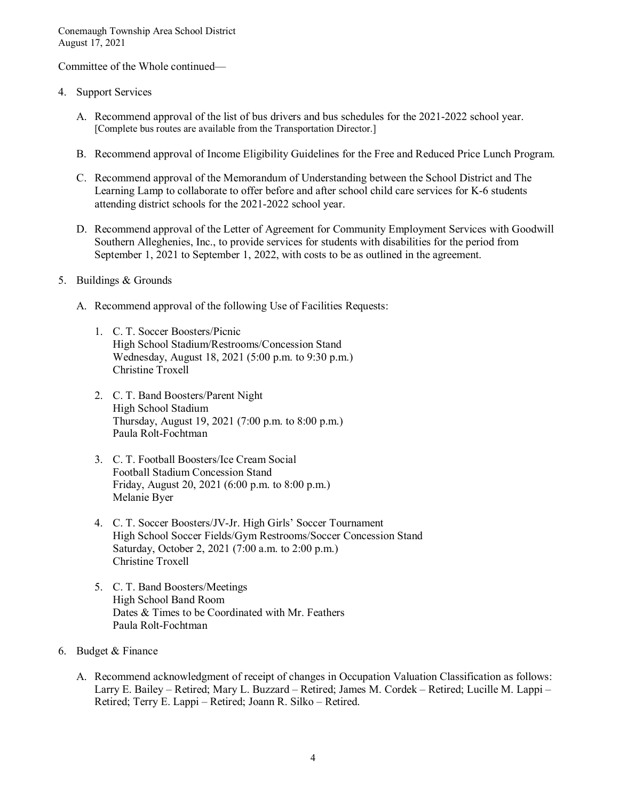Committee of the Whole continued—

- 4. Support Services
	- A. Recommend approval of the list of bus drivers and bus schedules for the 2021-2022 school year. [Complete bus routes are available from the Transportation Director.]
	- B. Recommend approval of Income Eligibility Guidelines for the Free and Reduced Price Lunch Program.
	- C. Recommend approval of the Memorandum of Understanding between the School District and The Learning Lamp to collaborate to offer before and after school child care services for K-6 students attending district schools for the 2021-2022 school year.
	- D. Recommend approval of the Letter of Agreement for Community Employment Services with Goodwill Southern Alleghenies, Inc., to provide services for students with disabilities for the period from September 1, 2021 to September 1, 2022, with costs to be as outlined in the agreement.
- 5. Buildings & Grounds
	- A. Recommend approval of the following Use of Facilities Requests:
		- 1. C. T. Soccer Boosters/Picnic High School Stadium/Restrooms/Concession Stand Wednesday, August 18, 2021 (5:00 p.m. to 9:30 p.m.) Christine Troxell
		- 2. C. T. Band Boosters/Parent Night High School Stadium Thursday, August 19, 2021 (7:00 p.m. to 8:00 p.m.) Paula Rolt-Fochtman
		- 3. C. T. Football Boosters/Ice Cream Social Football Stadium Concession Stand Friday, August 20, 2021 (6:00 p.m. to 8:00 p.m.) Melanie Byer
		- 4. C. T. Soccer Boosters/JV-Jr. High Girls' Soccer Tournament High School Soccer Fields/Gym Restrooms/Soccer Concession Stand Saturday, October 2, 2021 (7:00 a.m. to 2:00 p.m.) Christine Troxell
		- 5. C. T. Band Boosters/Meetings High School Band Room Dates & Times to be Coordinated with Mr. Feathers Paula Rolt-Fochtman
- 6. Budget & Finance
	- A. Recommend acknowledgment of receipt of changes in Occupation Valuation Classification as follows: Larry E. Bailey – Retired; Mary L. Buzzard – Retired; James M. Cordek – Retired; Lucille M. Lappi – Retired; Terry E. Lappi – Retired; Joann R. Silko – Retired.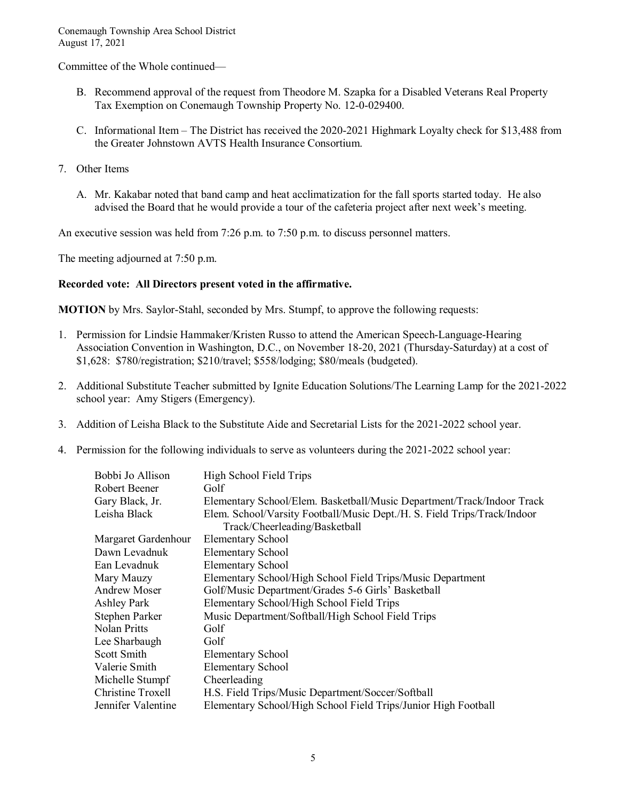Committee of the Whole continued—

- B. Recommend approval of the request from Theodore M. Szapka for a Disabled Veterans Real Property Tax Exemption on Conemaugh Township Property No. 12-0-029400.
- C. Informational Item The District has received the 2020-2021 Highmark Loyalty check for \$13,488 from the Greater Johnstown AVTS Health Insurance Consortium.
- 7. Other Items
	- A. Mr. Kakabar noted that band camp and heat acclimatization for the fall sports started today. He also advised the Board that he would provide a tour of the cafeteria project after next week's meeting.

An executive session was held from 7:26 p.m. to 7:50 p.m. to discuss personnel matters.

The meeting adjourned at 7:50 p.m.

# **Recorded vote: All Directors present voted in the affirmative.**

**MOTION** by Mrs. Saylor-Stahl, seconded by Mrs. Stumpf, to approve the following requests:

- 1. Permission for Lindsie Hammaker/Kristen Russo to attend the American Speech-Language-Hearing Association Convention in Washington, D.C., on November 18-20, 2021 (Thursday-Saturday) at a cost of \$1,628: \$780/registration; \$210/travel; \$558/lodging; \$80/meals (budgeted).
- 2. Additional Substitute Teacher submitted by Ignite Education Solutions/The Learning Lamp for the 2021-2022 school year: Amy Stigers (Emergency).
- 3. Addition of Leisha Black to the Substitute Aide and Secretarial Lists for the 2021-2022 school year.
- 4. Permission for the following individuals to serve as volunteers during the 2021-2022 school year:

| Bobbi Jo Allison    | High School Field Trips                                                  |
|---------------------|--------------------------------------------------------------------------|
| Robert Beener       | Golf                                                                     |
| Gary Black, Jr.     | Elementary School/Elem. Basketball/Music Department/Track/Indoor Track   |
| Leisha Black        | Elem. School/Varsity Football/Music Dept./H. S. Field Trips/Track/Indoor |
|                     | Track/Cheerleading/Basketball                                            |
| Margaret Gardenhour | <b>Elementary School</b>                                                 |
| Dawn Levadnuk       | <b>Elementary School</b>                                                 |
| Ean Levadnuk        | <b>Elementary School</b>                                                 |
| Mary Mauzy          | Elementary School/High School Field Trips/Music Department               |
| Andrew Moser        | Golf/Music Department/Grades 5-6 Girls' Basketball                       |
| Ashley Park         | Elementary School/High School Field Trips                                |
| Stephen Parker      | Music Department/Softball/High School Field Trips                        |
| Nolan Pritts        | Golf                                                                     |
| Lee Sharbaugh       | Golf                                                                     |
| Scott Smith         | <b>Elementary School</b>                                                 |
| Valerie Smith       | <b>Elementary School</b>                                                 |
| Michelle Stumpf     | Cheerleading                                                             |
| Christine Troxell   | H.S. Field Trips/Music Department/Soccer/Softball                        |
| Jennifer Valentine  | Elementary School/High School Field Trips/Junior High Football           |
|                     |                                                                          |